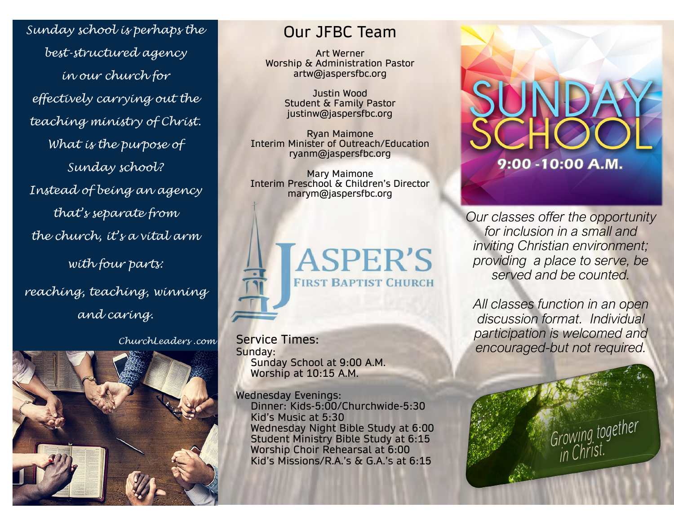*Sunday school is perhaps the best-structured agency in our church for effectively carrying out the teaching ministry of Christ. What is the purpose of Sunday school? Instead of being an agency that's separate from the church, it's a vital arm with four parts: reaching, teaching, winning and caring.*

*ChurchLeaders .com*



# Our JFBC Team

Art Werner Worship & Administration Pastor artw@jaspersfbc.org

> Justin Wood Student & Family Pastor justinw@jaspersfbc.org

Ryan Maimone Interim Minister of Outreach/Education ryanm@jaspersfbc.org

Mary Maimone Interim Preschool & Children's Director marym@jaspersfbc.org



Service Times: Sunday: Sunday School at 9:00 A.M. Worship at 10:15 A.M.

Wednesday Evenings: Dinner: Kids-5:00/Churchwide-5:30 Kid's Music at 5:30 Wednesday Night Bible Study at 6:00 Student Ministry Bible Study at 6:15 Worship Choir Rehearsal at 6:00 Kid's Missions/R.A.'s & G.A.'s at 6:15



*Our classes offer the opportunity for inclusion in a small and inviting Christian environment; providing a place to serve, be served and be counted.*

*All classes function in an open discussion format. Individual participation is welcomed and encouraged-but not required.* 

Growing together<br>in Christ.